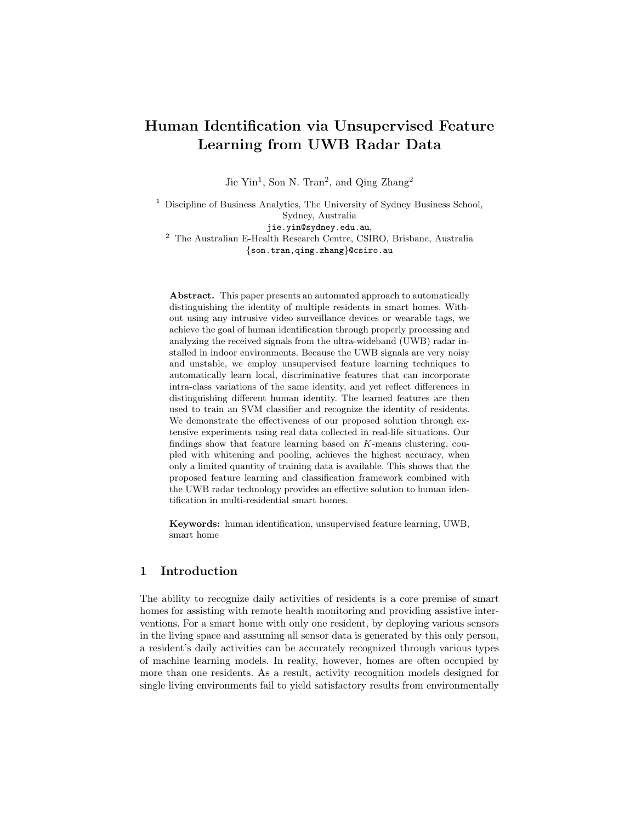# Human Identification via Unsupervised Feature Learning from UWB Radar Data

Jie Yin<sup>1</sup>, Son N. Tran<sup>2</sup>, and Qing Zhang<sup>2</sup>

<sup>1</sup> Discipline of Business Analytics, The University of Sydney Business School, Sydney, Australia jie.yin@sydney.edu.au, <sup>2</sup> The Australian E-Health Research Centre, CSIRO, Brisbane, Australia {son.tran,qing.zhang}@csiro.au

Abstract. This paper presents an automated approach to automatically distinguishing the identity of multiple residents in smart homes. Without using any intrusive video surveillance devices or wearable tags, we achieve the goal of human identification through properly processing and analyzing the received signals from the ultra-wideband (UWB) radar installed in indoor environments. Because the UWB signals are very noisy and unstable, we employ unsupervised feature learning techniques to automatically learn local, discriminative features that can incorporate intra-class variations of the same identity, and yet reflect differences in distinguishing different human identity. The learned features are then used to train an SVM classifier and recognize the identity of residents. We demonstrate the effectiveness of our proposed solution through extensive experiments using real data collected in real-life situations. Our findings show that feature learning based on K-means clustering, coupled with whitening and pooling, achieves the highest accuracy, when only a limited quantity of training data is available. This shows that the proposed feature learning and classification framework combined with the UWB radar technology provides an effective solution to human identification in multi-residential smart homes.

Keywords: human identification, unsupervised feature learning, UWB, smart home

# 1 Introduction

The ability to recognize daily activities of residents is a core premise of smart homes for assisting with remote health monitoring and providing assistive interventions. For a smart home with only one resident, by deploying various sensors in the living space and assuming all sensor data is generated by this only person, a resident's daily activities can be accurately recognized through various types of machine learning models. In reality, however, homes are often occupied by more than one residents. As a result, activity recognition models designed for single living environments fail to yield satisfactory results from environmentally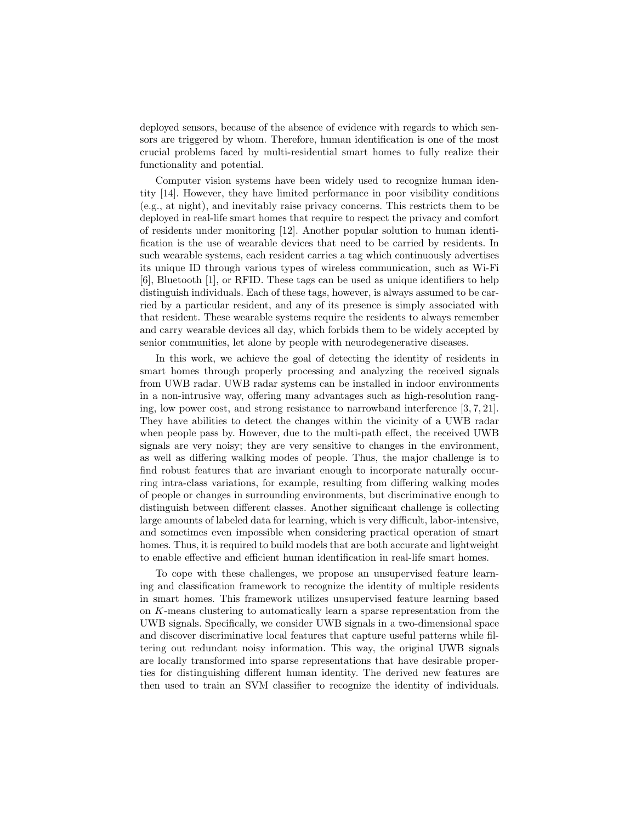deployed sensors, because of the absence of evidence with regards to which sensors are triggered by whom. Therefore, human identification is one of the most crucial problems faced by multi-residential smart homes to fully realize their functionality and potential.

Computer vision systems have been widely used to recognize human identity [14]. However, they have limited performance in poor visibility conditions (e.g., at night), and inevitably raise privacy concerns. This restricts them to be deployed in real-life smart homes that require to respect the privacy and comfort of residents under monitoring [12]. Another popular solution to human identification is the use of wearable devices that need to be carried by residents. In such wearable systems, each resident carries a tag which continuously advertises its unique ID through various types of wireless communication, such as Wi-Fi [6], Bluetooth [1], or RFID. These tags can be used as unique identifiers to help distinguish individuals. Each of these tags, however, is always assumed to be carried by a particular resident, and any of its presence is simply associated with that resident. These wearable systems require the residents to always remember and carry wearable devices all day, which forbids them to be widely accepted by senior communities, let alone by people with neurodegenerative diseases.

In this work, we achieve the goal of detecting the identity of residents in smart homes through properly processing and analyzing the received signals from UWB radar. UWB radar systems can be installed in indoor environments in a non-intrusive way, offering many advantages such as high-resolution ranging, low power cost, and strong resistance to narrowband interference [3, 7, 21]. They have abilities to detect the changes within the vicinity of a UWB radar when people pass by. However, due to the multi-path effect, the received UWB signals are very noisy; they are very sensitive to changes in the environment, as well as differing walking modes of people. Thus, the major challenge is to find robust features that are invariant enough to incorporate naturally occurring intra-class variations, for example, resulting from differing walking modes of people or changes in surrounding environments, but discriminative enough to distinguish between different classes. Another significant challenge is collecting large amounts of labeled data for learning, which is very difficult, labor-intensive, and sometimes even impossible when considering practical operation of smart homes. Thus, it is required to build models that are both accurate and lightweight to enable effective and efficient human identification in real-life smart homes.

To cope with these challenges, we propose an unsupervised feature learning and classification framework to recognize the identity of multiple residents in smart homes. This framework utilizes unsupervised feature learning based on K-means clustering to automatically learn a sparse representation from the UWB signals. Specifically, we consider UWB signals in a two-dimensional space and discover discriminative local features that capture useful patterns while filtering out redundant noisy information. This way, the original UWB signals are locally transformed into sparse representations that have desirable properties for distinguishing different human identity. The derived new features are then used to train an SVM classifier to recognize the identity of individuals.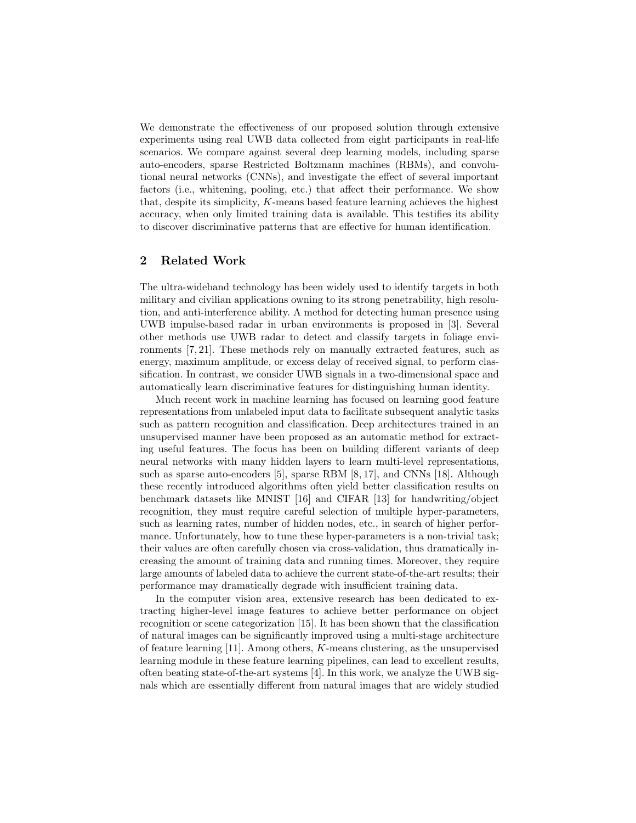We demonstrate the effectiveness of our proposed solution through extensive experiments using real UWB data collected from eight participants in real-life scenarios. We compare against several deep learning models, including sparse auto-encoders, sparse Restricted Boltzmann machines (RBMs), and convolutional neural networks (CNNs), and investigate the effect of several important factors (i.e., whitening, pooling, etc.) that affect their performance. We show that, despite its simplicity, K-means based feature learning achieves the highest accuracy, when only limited training data is available. This testifies its ability to discover discriminative patterns that are effective for human identification.

# 2 Related Work

The ultra-wideband technology has been widely used to identify targets in both military and civilian applications owning to its strong penetrability, high resolution, and anti-interference ability. A method for detecting human presence using UWB impulse-based radar in urban environments is proposed in [3]. Several other methods use UWB radar to detect and classify targets in foliage environments [7, 21]. These methods rely on manually extracted features, such as energy, maximum amplitude, or excess delay of received signal, to perform classification. In contrast, we consider UWB signals in a two-dimensional space and automatically learn discriminative features for distinguishing human identity.

Much recent work in machine learning has focused on learning good feature representations from unlabeled input data to facilitate subsequent analytic tasks such as pattern recognition and classification. Deep architectures trained in an unsupervised manner have been proposed as an automatic method for extracting useful features. The focus has been on building different variants of deep neural networks with many hidden layers to learn multi-level representations, such as sparse auto-encoders [5], sparse RBM [8, 17], and CNNs [18]. Although these recently introduced algorithms often yield better classification results on benchmark datasets like MNIST [16] and CIFAR [13] for handwriting/object recognition, they must require careful selection of multiple hyper-parameters, such as learning rates, number of hidden nodes, etc., in search of higher performance. Unfortunately, how to tune these hyper-parameters is a non-trivial task; their values are often carefully chosen via cross-validation, thus dramatically increasing the amount of training data and running times. Moreover, they require large amounts of labeled data to achieve the current state-of-the-art results; their performance may dramatically degrade with insufficient training data.

In the computer vision area, extensive research has been dedicated to extracting higher-level image features to achieve better performance on object recognition or scene categorization [15]. It has been shown that the classification of natural images can be significantly improved using a multi-stage architecture of feature learning [11]. Among others, K-means clustering, as the unsupervised learning module in these feature learning pipelines, can lead to excellent results, often beating state-of-the-art systems [4]. In this work, we analyze the UWB signals which are essentially different from natural images that are widely studied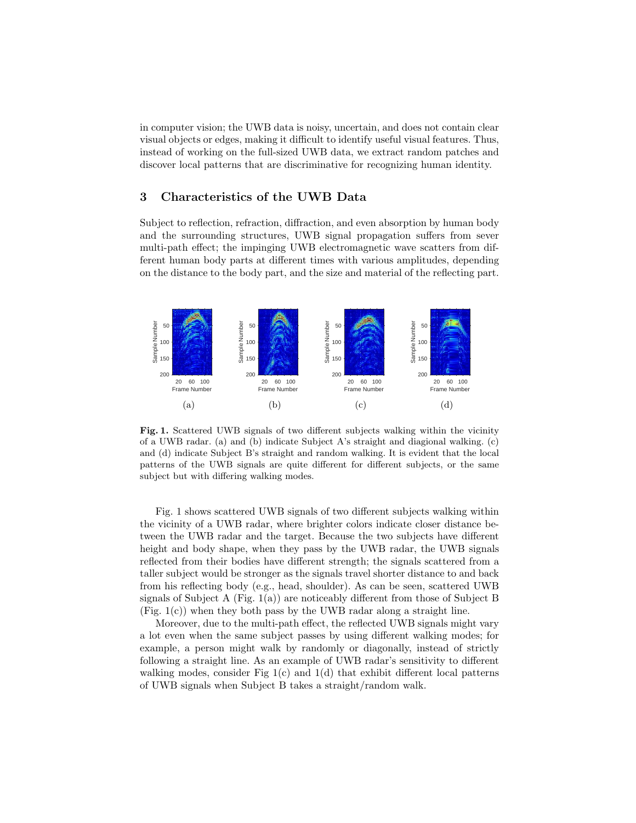in computer vision; the UWB data is noisy, uncertain, and does not contain clear visual objects or edges, making it difficult to identify useful visual features. Thus, instead of working on the full-sized UWB data, we extract random patches and discover local patterns that are discriminative for recognizing human identity.

# 3 Characteristics of the UWB Data

Subject to reflection, refraction, diffraction, and even absorption by human body and the surrounding structures, UWB signal propagation suffers from sever multi-path effect; the impinging UWB electromagnetic wave scatters from different human body parts at different times with various amplitudes, depending on the distance to the body part, and the size and material of the reflecting part.



Fig. 1. Scattered UWB signals of two different subjects walking within the vicinity of a UWB radar. (a) and (b) indicate Subject A's straight and diagional walking. (c) and (d) indicate Subject B's straight and random walking. It is evident that the local patterns of the UWB signals are quite different for different subjects, or the same subject but with differing walking modes.

Fig. 1 shows scattered UWB signals of two different subjects walking within the vicinity of a UWB radar, where brighter colors indicate closer distance between the UWB radar and the target. Because the two subjects have different height and body shape, when they pass by the UWB radar, the UWB signals reflected from their bodies have different strength; the signals scattered from a taller subject would be stronger as the signals travel shorter distance to and back from his reflecting body (e.g., head, shoulder). As can be seen, scattered UWB signals of Subject A (Fig. 1(a)) are noticeably different from those of Subject B (Fig. 1(c)) when they both pass by the UWB radar along a straight line.

Moreover, due to the multi-path effect, the reflected UWB signals might vary a lot even when the same subject passes by using different walking modes; for example, a person might walk by randomly or diagonally, instead of strictly following a straight line. As an example of UWB radar's sensitivity to different walking modes, consider Fig  $1(c)$  and  $1(d)$  that exhibit different local patterns of UWB signals when Subject B takes a straight/random walk.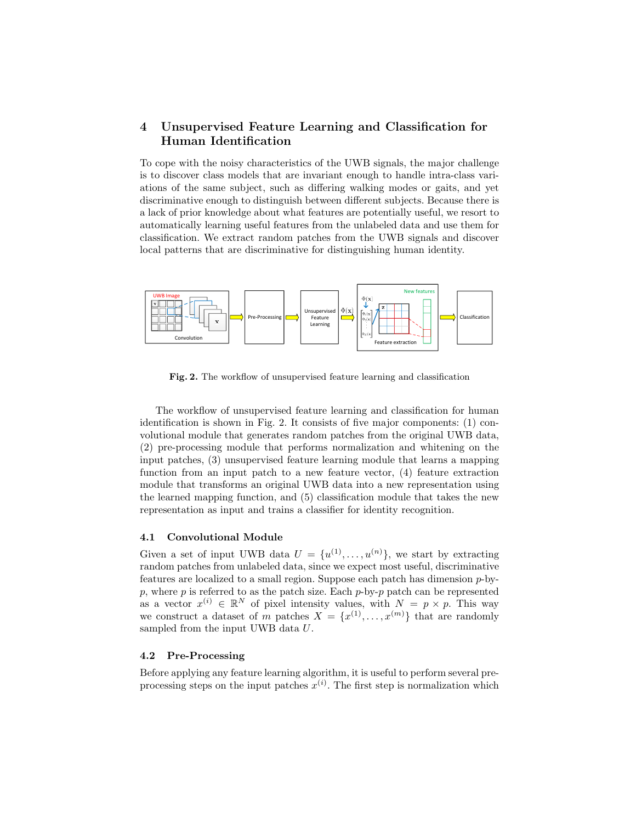# 4 Unsupervised Feature Learning and Classification for Human Identification

To cope with the noisy characteristics of the UWB signals, the major challenge is to discover class models that are invariant enough to handle intra-class variations of the same subject, such as differing walking modes or gaits, and yet discriminative enough to distinguish between different subjects. Because there is a lack of prior knowledge about what features are potentially useful, we resort to automatically learning useful features from the unlabeled data and use them for classification. We extract random patches from the UWB signals and discover local patterns that are discriminative for distinguishing human identity.



Fig. 2. The workflow of unsupervised feature learning and classification

The workflow of unsupervised feature learning and classification for human identification is shown in Fig. 2. It consists of five major components: (1) convolutional module that generates random patches from the original UWB data, (2) pre-processing module that performs normalization and whitening on the input patches, (3) unsupervised feature learning module that learns a mapping function from an input patch to a new feature vector, (4) feature extraction module that transforms an original UWB data into a new representation using the learned mapping function, and (5) classification module that takes the new representation as input and trains a classifier for identity recognition.

### 4.1 Convolutional Module

Given a set of input UWB data  $U = \{u^{(1)}, \ldots, u^{(n)}\}$ , we start by extracting random patches from unlabeled data, since we expect most useful, discriminative features are localized to a small region. Suppose each patch has dimension p-byp, where p is referred to as the patch size. Each  $p$ -by-p patch can be represented as a vector  $x^{(i)} \in \mathbb{R}^N$  of pixel intensity values, with  $N = p \times p$ . This way we construct a dataset of m patches  $X = \{x^{(1)}, \ldots, x^{(m)}\}$  that are randomly sampled from the input UWB data  $U$ .

#### 4.2 Pre-Processing

Before applying any feature learning algorithm, it is useful to perform several preprocessing steps on the input patches  $x^{(i)}$ . The first step is normalization which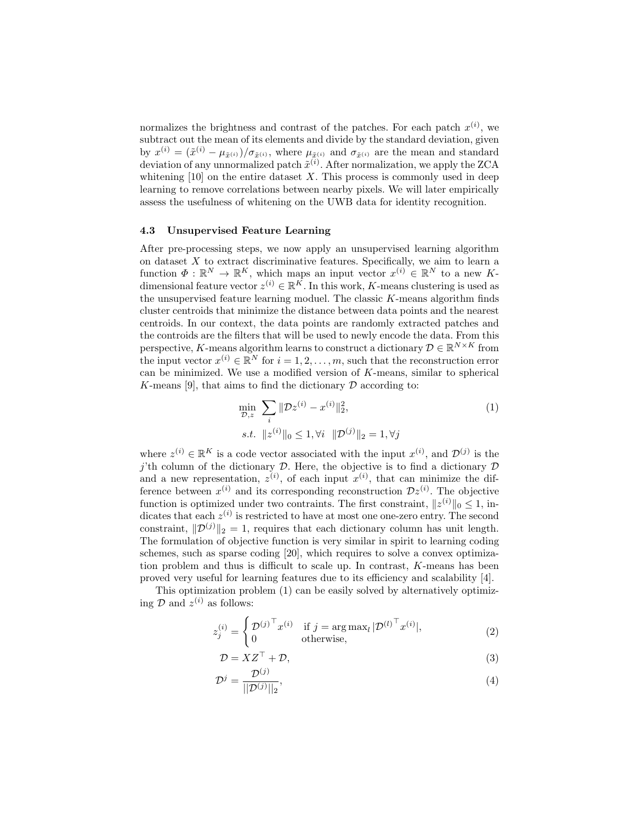normalizes the brightness and contrast of the patches. For each patch  $x^{(i)}$ , we subtract out the mean of its elements and divide by the standard deviation, given by  $x^{(i)} = (\tilde{x}^{(i)} - \mu_{\tilde{x}^{(i)}})/\sigma_{\tilde{x}^{(i)}},$  where  $\mu_{\tilde{x}^{(i)}}$  and  $\sigma_{\tilde{x}^{(i)}}$  are the mean and standard deviation of any unnormalized patch  $\tilde{x}^{(i)}$ . After normalization, we apply the ZCA whitening  $[10]$  on the entire dataset X. This process is commonly used in deep learning to remove correlations between nearby pixels. We will later empirically assess the usefulness of whitening on the UWB data for identity recognition.

#### 4.3 Unsupervised Feature Learning

After pre-processing steps, we now apply an unsupervised learning algorithm on dataset X to extract discriminative features. Specifically, we aim to learn a function  $\Phi : \mathbb{R}^N \to \mathbb{R}^K$ , which maps an input vector  $x^{(i)} \in \mathbb{R}^N$  to a new Kdimensional feature vector  $z^{(i)} \in \mathbb{R}^K$ . In this work, K-means clustering is used as the unsupervised feature learning moduel. The classic  $K$ -means algorithm finds cluster centroids that minimize the distance between data points and the nearest centroids. In our context, the data points are randomly extracted patches and the controids are the filters that will be used to newly encode the data. From this perspective, K-means algorithm learns to construct a dictionary  $D \in \mathbb{R}^{N \times K}$  from the input vector  $x^{(i)} \in \mathbb{R}^N$  for  $i = 1, 2, ..., m$ , such that the reconstruction error can be minimized. We use a modified version of  $K$ -means, similar to spherical K-means [9], that aims to find the dictionary  $\mathcal D$  according to:

$$
\min_{\mathcal{D},z} \sum_{i} \|\mathcal{D}z^{(i)} - x^{(i)}\|_2^2,
$$
\n
$$
s.t. \quad \|z^{(i)}\|_0 \le 1, \forall i \quad \|\mathcal{D}^{(j)}\|_2 = 1, \forall j
$$
\n
$$
(1)
$$

where  $z^{(i)} \in \mathbb{R}^K$  is a code vector associated with the input  $x^{(i)}$ , and  $\mathcal{D}^{(j)}$  is the j'th column of the dictionary  $\mathcal D$ . Here, the objective is to find a dictionary  $\mathcal D$ and a new representation,  $z^{(i)}$ , of each input  $x^{(i)}$ , that can minimize the difference between  $x^{(i)}$  and its corresponding reconstruction  $\mathcal{D}z^{(i)}$ . The objective function is optimized under two contraints. The first constraint,  $||z^{(i)}||_0 \leq 1$ , indicates that each  $z^{(i)}$  is restricted to have at most one one-zero entry. The second constraint,  $\|\mathcal{D}^{(j)}\|_2 = 1$ , requires that each dictionary column has unit length. The formulation of objective function is very similar in spirit to learning coding schemes, such as sparse coding [20], which requires to solve a convex optimization problem and thus is difficult to scale up. In contrast, K-means has been proved very useful for learning features due to its efficiency and scalability [4].

This optimization problem (1) can be easily solved by alternatively optimizing  $\mathcal D$  and  $z^{(i)}$  as follows:

$$
z_j^{(i)} = \begin{cases} \mathcal{D}^{(j)^\top} x^{(i)} & \text{if } j = \arg \max_l |\mathcal{D}^{(l)^\top} x^{(i)}|, \\ 0 & \text{otherwise,} \end{cases}
$$
 (2)

$$
\mathcal{D} = XZ^{\top} + \mathcal{D},\tag{3}
$$

$$
\mathcal{D}^{j} = \frac{\mathcal{D}^{(j)}}{||\mathcal{D}^{(j)}||_{2}},\tag{4}
$$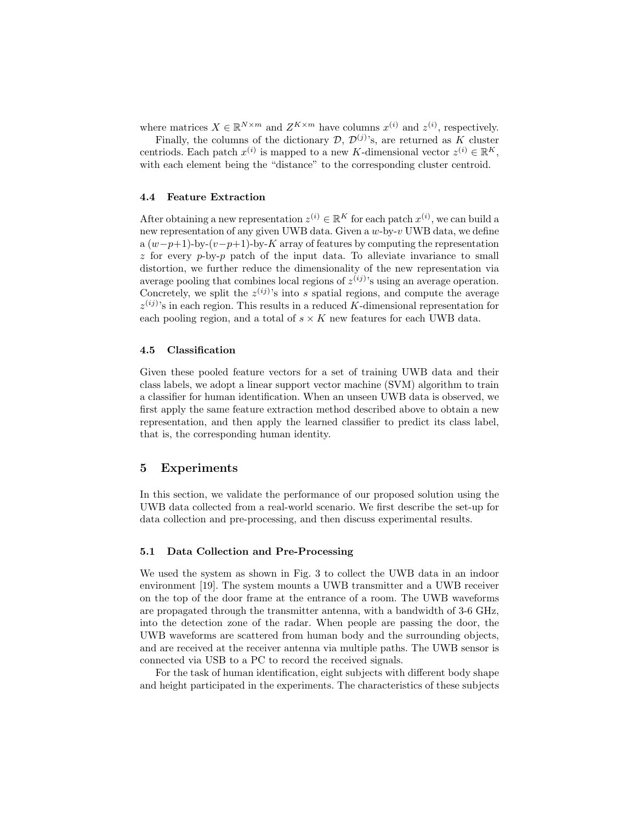where matrices  $X \in \mathbb{R}^{N \times m}$  and  $Z^{K \times m}$  have columns  $x^{(i)}$  and  $z^{(i)}$ , respectively.

Finally, the columns of the dictionary  $\mathcal{D}, \mathcal{D}^{(j)}$ 's, are returned as K cluster centriods. Each patch  $x^{(i)}$  is mapped to a new K-dimensional vector  $z^{(i)} \in \mathbb{R}^K$ , with each element being the "distance" to the corresponding cluster centroid.

#### 4.4 Feature Extraction

After obtaining a new representation  $z^{(i)} \in \mathbb{R}^K$  for each patch  $x^{(i)}$ , we can build a new representation of any given UWB data. Given a  $w$ -by- $v$  UWB data, we define a  $(w-p+1)$ -by- $(v-p+1)$ -by-K array of features by computing the representation  $z$  for every  $p$ -by- $p$  patch of the input data. To alleviate invariance to small distortion, we further reduce the dimensionality of the new representation via average pooling that combines local regions of  $z^{(ij)}$ 's using an average operation. Concretely, we split the  $z^{(ij)}$ 's into s spatial regions, and compute the average  $z^{(ij)}$ 's in each region. This results in a reduced K-dimensional representation for each pooling region, and a total of  $s \times K$  new features for each UWB data.

#### 4.5 Classification

Given these pooled feature vectors for a set of training UWB data and their class labels, we adopt a linear support vector machine (SVM) algorithm to train a classifier for human identification. When an unseen UWB data is observed, we first apply the same feature extraction method described above to obtain a new representation, and then apply the learned classifier to predict its class label, that is, the corresponding human identity.

### 5 Experiments

In this section, we validate the performance of our proposed solution using the UWB data collected from a real-world scenario. We first describe the set-up for data collection and pre-processing, and then discuss experimental results.

#### 5.1 Data Collection and Pre-Processing

We used the system as shown in Fig. 3 to collect the UWB data in an indoor environment [19]. The system mounts a UWB transmitter and a UWB receiver on the top of the door frame at the entrance of a room. The UWB waveforms are propagated through the transmitter antenna, with a bandwidth of 3-6 GHz, into the detection zone of the radar. When people are passing the door, the UWB waveforms are scattered from human body and the surrounding objects, and are received at the receiver antenna via multiple paths. The UWB sensor is connected via USB to a PC to record the received signals.

For the task of human identification, eight subjects with different body shape and height participated in the experiments. The characteristics of these subjects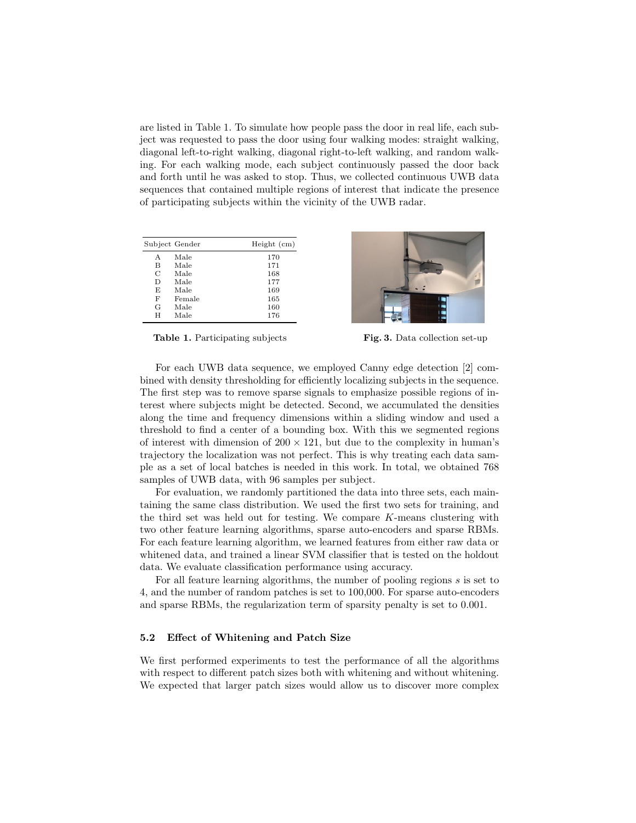are listed in Table 1. To simulate how people pass the door in real life, each subject was requested to pass the door using four walking modes: straight walking, diagonal left-to-right walking, diagonal right-to-left walking, and random walking. For each walking mode, each subject continuously passed the door back and forth until he was asked to stop. Thus, we collected continuous UWB data sequences that contained multiple regions of interest that indicate the presence of participating subjects within the vicinity of the UWB radar.

| Subject Gender                                                                                         | Height (cm)                                          |
|--------------------------------------------------------------------------------------------------------|------------------------------------------------------|
| Male<br>A<br>В<br>Male<br>C<br>Male<br>D<br>Male<br>E<br>Male<br>F<br>Female<br>G<br>Male<br>Η<br>Male | 170<br>171<br>168<br>177<br>169<br>165<br>160<br>176 |



Table 1. Participating subjects Fig. 3. Data collection set-up

For each UWB data sequence, we employed Canny edge detection [2] combined with density thresholding for efficiently localizing subjects in the sequence. The first step was to remove sparse signals to emphasize possible regions of interest where subjects might be detected. Second, we accumulated the densities along the time and frequency dimensions within a sliding window and used a threshold to find a center of a bounding box. With this we segmented regions of interest with dimension of  $200 \times 121$ , but due to the complexity in human's trajectory the localization was not perfect. This is why treating each data sample as a set of local batches is needed in this work. In total, we obtained 768 samples of UWB data, with 96 samples per subject.

For evaluation, we randomly partitioned the data into three sets, each maintaining the same class distribution. We used the first two sets for training, and the third set was held out for testing. We compare K-means clustering with two other feature learning algorithms, sparse auto-encoders and sparse RBMs. For each feature learning algorithm, we learned features from either raw data or whitened data, and trained a linear SVM classifier that is tested on the holdout data. We evaluate classification performance using accuracy.

For all feature learning algorithms, the number of pooling regions s is set to 4, and the number of random patches is set to 100,000. For sparse auto-encoders and sparse RBMs, the regularization term of sparsity penalty is set to 0.001.

#### 5.2 Effect of Whitening and Patch Size

We first performed experiments to test the performance of all the algorithms with respect to different patch sizes both with whitening and without whitening. We expected that larger patch sizes would allow us to discover more complex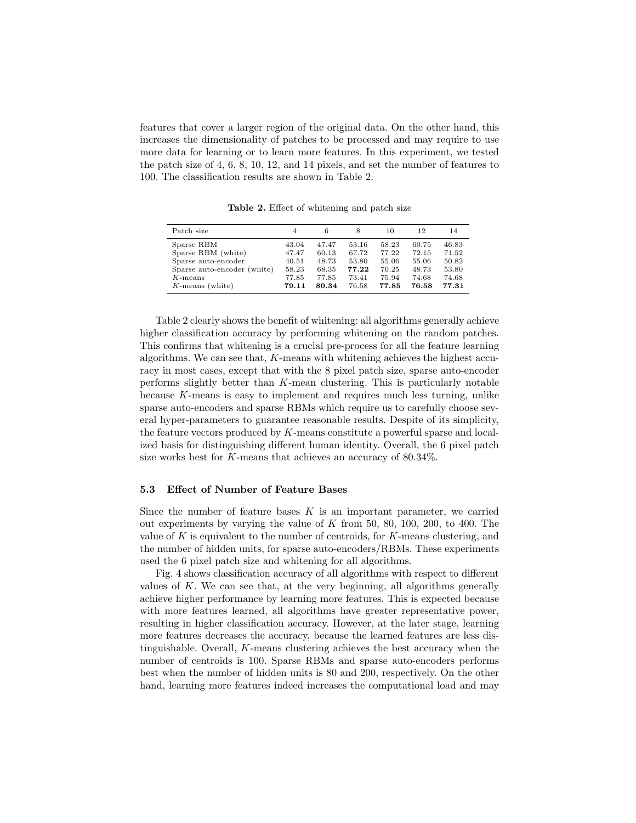features that cover a larger region of the original data. On the other hand, this increases the dimensionality of patches to be processed and may require to use more data for learning or to learn more features. In this experiment, we tested the patch size of 4, 6, 8, 10, 12, and 14 pixels, and set the number of features to 100. The classification results are shown in Table 2.

| Patch size                  |       | 6     |       | 10    | 12    | 14    |
|-----------------------------|-------|-------|-------|-------|-------|-------|
| Sparse RBM                  | 43.04 | 47.47 | 53.16 | 58.23 | 60.75 | 46.83 |
| Sparse RBM (white)          | 47.47 | 60.13 | 67.72 | 77.22 | 72.15 | 71.52 |
| Sparse auto-encoder         | 40.51 | 48.73 | 53.80 | 55.06 | 55.06 | 50.82 |
| Sparse auto-encoder (white) | 58.23 | 68.35 | 77.22 | 70.25 | 48.73 | 53.80 |
| $K$ -means                  | 77.85 | 77.85 | 73.41 | 75.94 | 74.68 | 74.68 |
| $K$ -means (white)          | 79.11 | 80.34 | 76.58 | 77.85 | 76.58 | 77.31 |

Table 2. Effect of whitening and patch size

Table 2 clearly shows the benefit of whitening: all algorithms generally achieve higher classification accuracy by performing whitening on the random patches. This confirms that whitening is a crucial pre-process for all the feature learning algorithms. We can see that,  $K$ -means with whitening achieves the highest accuracy in most cases, except that with the 8 pixel patch size, sparse auto-encoder performs slightly better than K-mean clustering. This is particularly notable because K-means is easy to implement and requires much less turning, unlike sparse auto-encoders and sparse RBMs which require us to carefully choose several hyper-parameters to guarantee reasonable results. Despite of its simplicity, the feature vectors produced by K-means constitute a powerful sparse and localized basis for distinguishing different human identity. Overall, the 6 pixel patch size works best for K-means that achieves an accuracy of 80.34%.

### 5.3 Effect of Number of Feature Bases

Since the number of feature bases  $K$  is an important parameter, we carried out experiments by varying the value of  $K$  from 50, 80, 100, 200, to 400. The value of  $K$  is equivalent to the number of centroids, for  $K$ -means clustering, and the number of hidden units, for sparse auto-encoders/RBMs. These experiments used the 6 pixel patch size and whitening for all algorithms.

Fig. 4 shows classification accuracy of all algorithms with respect to different values of K. We can see that, at the very beginning, all algorithms generally achieve higher performance by learning more features. This is expected because with more features learned, all algorithms have greater representative power, resulting in higher classification accuracy. However, at the later stage, learning more features decreases the accuracy, because the learned features are less distinguishable. Overall, K-means clustering achieves the best accuracy when the number of centroids is 100. Sparse RBMs and sparse auto-encoders performs best when the number of hidden units is 80 and 200, respectively. On the other hand, learning more features indeed increases the computational load and may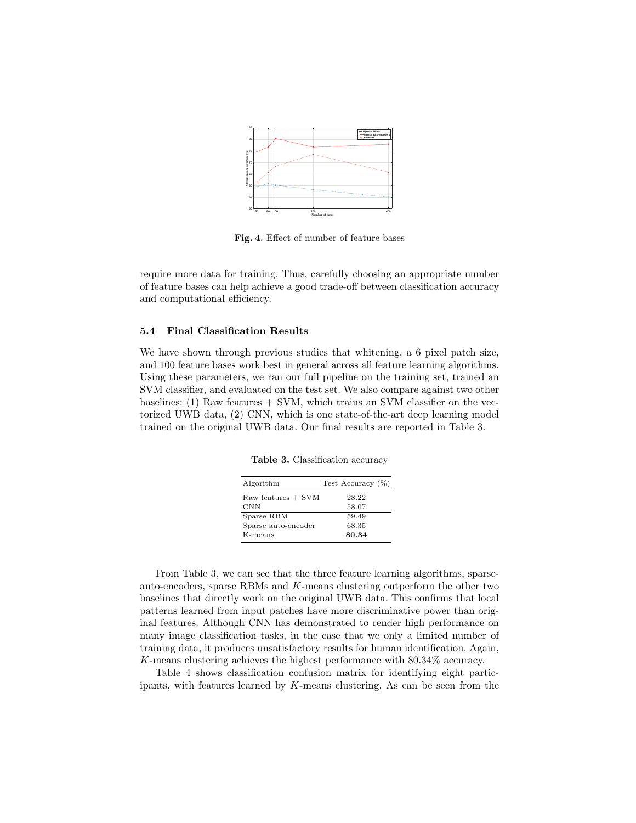

Fig. 4. Effect of number of feature bases

require more data for training. Thus, carefully choosing an appropriate number of feature bases can help achieve a good trade-off between classification accuracy and computational efficiency.

# 5.4 Final Classification Results

We have shown through previous studies that whitening, a 6 pixel patch size, and 100 feature bases work best in general across all feature learning algorithms. Using these parameters, we ran our full pipeline on the training set, trained an SVM classifier, and evaluated on the test set. We also compare against two other baselines: (1) Raw features  $+$  SVM, which trains an SVM classifier on the vectorized UWB data, (2) CNN, which is one state-of-the-art deep learning model trained on the original UWB data. Our final results are reported in Table 3.

Table 3. Classification accuracy

| Algorithm            | Test Accuracy $(\%)$ |
|----------------------|----------------------|
| Raw features $+$ SVM | 28.22                |
| <b>CNN</b>           | 58.07                |
| Sparse RBM           | 59.49                |
| Sparse auto-encoder  | 68.35                |
| K-means              | 80.34                |

From Table 3, we can see that the three feature learning algorithms, sparseauto-encoders, sparse RBMs and K-means clustering outperform the other two baselines that directly work on the original UWB data. This confirms that local patterns learned from input patches have more discriminative power than original features. Although CNN has demonstrated to render high performance on many image classification tasks, in the case that we only a limited number of training data, it produces unsatisfactory results for human identification. Again, K-means clustering achieves the highest performance with 80.34% accuracy.

Table 4 shows classification confusion matrix for identifying eight participants, with features learned by  $K$ -means clustering. As can be seen from the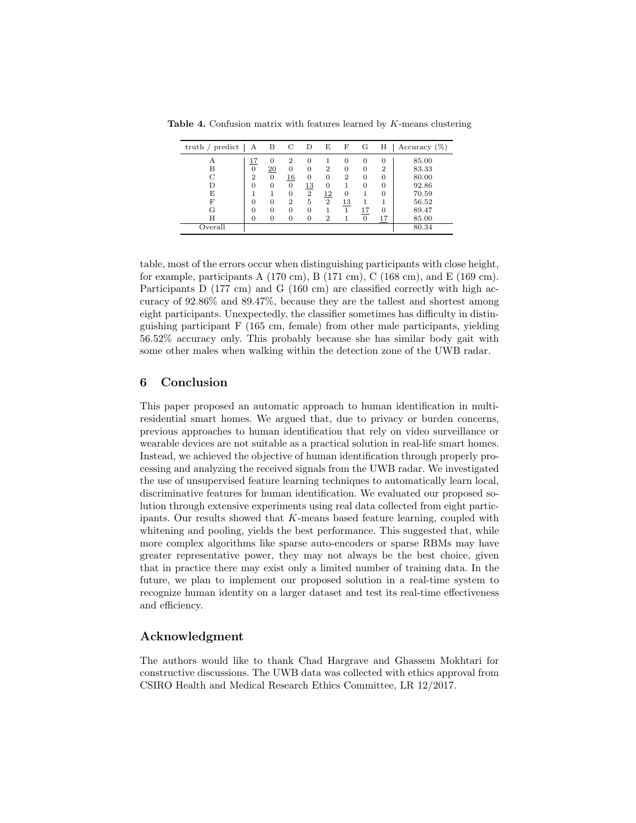Table 4. Confusion matrix with features learned by K-means clustering

| truth $/$ predict | А              | В               | С              | Ð              | Ε              | F              | G        | Н              | Accuracy $(\%)$ |
|-------------------|----------------|-----------------|----------------|----------------|----------------|----------------|----------|----------------|-----------------|
| Α                 | 17             | 0               | 2              | 0              |                | $\Omega$       | $\Omega$ | 0              | 85.00           |
| в                 | 0              | $\overline{20}$ | 0              | 0              | $\overline{2}$ | $\Omega$       | 0        | $\overline{2}$ | 83.33           |
| С                 | $\overline{2}$ | $\theta$        | 16             | 0              | $\Omega$       | $\overline{2}$ | $\Omega$ | 0              | 80.00           |
| D                 | 0              | 0               | 0              | 13             | 0              |                | $\Omega$ | 0              | 92.86           |
| E                 |                |                 | 0              | $\overline{2}$ | 12             | $\Omega$       |          | 0              | 70.59           |
| F                 | 0              | $\Omega$        | $\overline{2}$ | 5              | $\overline{2}$ | 13             |          |                | 56.52           |
| G                 | 0              | 0               | 0              | $\Omega$       |                |                | 17       | 0              | 89.47           |
| H                 |                |                 | 0              |                | $\overline{2}$ |                |          | 17             | 85.00           |
| OveraII           |                |                 |                |                |                |                |          |                | 80.34           |

table, most of the errors occur when distinguishing participants with close height, for example, participants A (170 cm), B (171 cm), C (168 cm), and E (169 cm). Participants D (177 cm) and G (160 cm) are classified correctly with high accuracy of 92.86% and 89.47%, because they are the tallest and shortest among eight participants. Unexpectedly, the classifier sometimes has difficulty in distinguishing participant F (165 cm, female) from other male participants, yielding 56.52% accuracy only. This probably because she has similar body gait with some other males when walking within the detection zone of the UWB radar.

# 6 Conclusion

This paper proposed an automatic approach to human identification in multiresidential smart homes. We argued that, due to privacy or burden concerns, previous approaches to human identification that rely on video surveillance or wearable devices are not suitable as a practical solution in real-life smart homes. Instead, we achieved the objective of human identification through properly processing and analyzing the received signals from the UWB radar. We investigated the use of unsupervised feature learning techniques to automatically learn local, discriminative features for human identification. We evaluated our proposed solution through extensive experiments using real data collected from eight participants. Our results showed that K-means based feature learning, coupled with whitening and pooling, yields the best performance. This suggested that, while more complex algorithms like sparse auto-encoders or sparse RBMs may have greater representative power, they may not always be the best choice, given that in practice there may exist only a limited number of training data. In the future, we plan to implement our proposed solution in a real-time system to recognize human identity on a larger dataset and test its real-time effectiveness and efficiency.

# Acknowledgment

The authors would like to thank Chad Hargrave and Ghassem Mokhtari for constructive discussions. The UWB data was collected with ethics approval from CSIRO Health and Medical Research Ethics Committee, LR 12/2017.